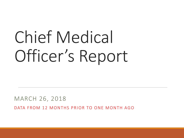# Chief Medical Officer's Report

MARCH 26, 2018

DATA FROM 12 MONTHS PRIOR TO ONE MONTH AGO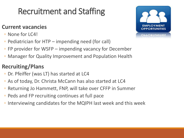# Recruitment and Staffing

### **Current vacancies**

- None for LC4!
- Pediatrician for HTP impending need (for call)
- FP provider for WSFP impending vacancy for December
- Manager for Quality Improvement and Population Health

### **Recruiting/Plans**

- Dr. Pfeiffer (was LT) has started at LC4
- As of today, Dr. Christa McCann has also started at LC4
- Returning Jo Hammett, FNP, will take over CFFP in Summer
- Peds and FP recruiting continues at full pace
- Interviewing candidates for the MQIPH last week and this week

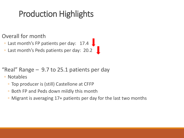# Production Highlights

Overall for month

◦ Last month's FP patients per day: 17.4

◦ Last month's Peds patients per day: 20.2

"Real" Range  $-9.7$  to 25.1 patients per day

◦ Notables

- Top producer is (still) Castellone at CFFP
- Both FP and Peds down mildly this month
- Migrant is averaging 17+ patients per day for the last two months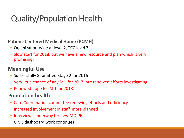# Quality/Population Health

#### **Patient-Centered Medical Home (PCMH)**

- Organization-wide at level 2, TCC level 3
- Slow start for 2018, but we have a new resource and plan which is very promising!

### **Meaningful Use**

- Successfully Submitted Stage 2 for 2016
- Very little chance of any MU for 2017, but renewed efforts investigating
- Renewed hope for MU for 2018!

### **Population health**

- Care Coordination committee renewing efforts and efficiency
- Increased involvement in staff, more planned
- Interviews underway for new MQIPH
- CIMS dashboard work continues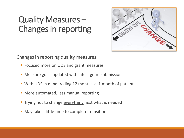### Quality Measures – Changes in reporting



Changes in reporting quality measures:

- **Focused more on UDS and grant measures**
- Measure goals updated with latest grant submission
- With UDS in mind, rolling 12 months vs 1 month of patients
- **More automated, less manual reporting**
- **Trying not to change everything, just what is needed**
- **May take a little time to complete transition**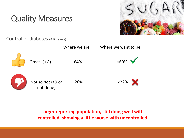

Control of diabetes (A1C levels)



**Larger reporting population, still doing well with controlled, showing a little worse with uncontrolled**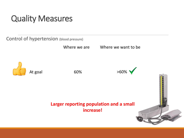Control of hypertension (blood pressure)

Where we are **Where we want to be** 





#### **Larger reporting population and a small increase!**

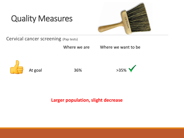

Cervical cancer screening (Pap tests)

Where we are Where we want to be



At goal 36%



#### **Larger population, slight decrease**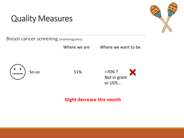

Breast cancer screening (mammograms)

Where we are Where we want to be





**Slight decrease this month**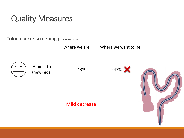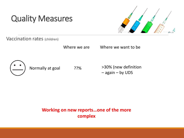

Vaccination rates (children)

Where we are **Where we want to be** 



Normally at goal ??%

>30% (new definition – again – by UDS

**Working on new reports…one of the more complex**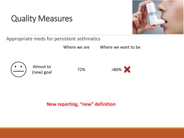

Appropriate meds for persistent asthmatics

Where we are **Where we want to be** 



Almost to Allost to  $72\%$ <br>(new) goal 72%





**New reporting, "new" definition**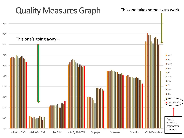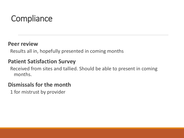# **Compliance**

### **Peer review**

Results all in, hopefully presented in coming months

### **Patient Satisfaction Survey**

Received from sites and tallied. Should be able to present in coming months.

### **Dismissals for the month**

1 for mistrust by provider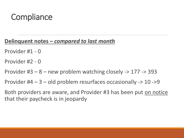### **Compliance**

### **Delinquent notes –** *compared to last month*

- Provider #1 0
- Provider #2 0
- Provider  $#3 8 -$  new problem watching closely  $-$  > 177  $-$  > 393
- Provider  $#4 3 -$  old problem resurfaces occasionally  $-$  > 10  $-$  > 9
- Both providers are aware, and Provider #3 has been put on notice that their paycheck is in jeopardy